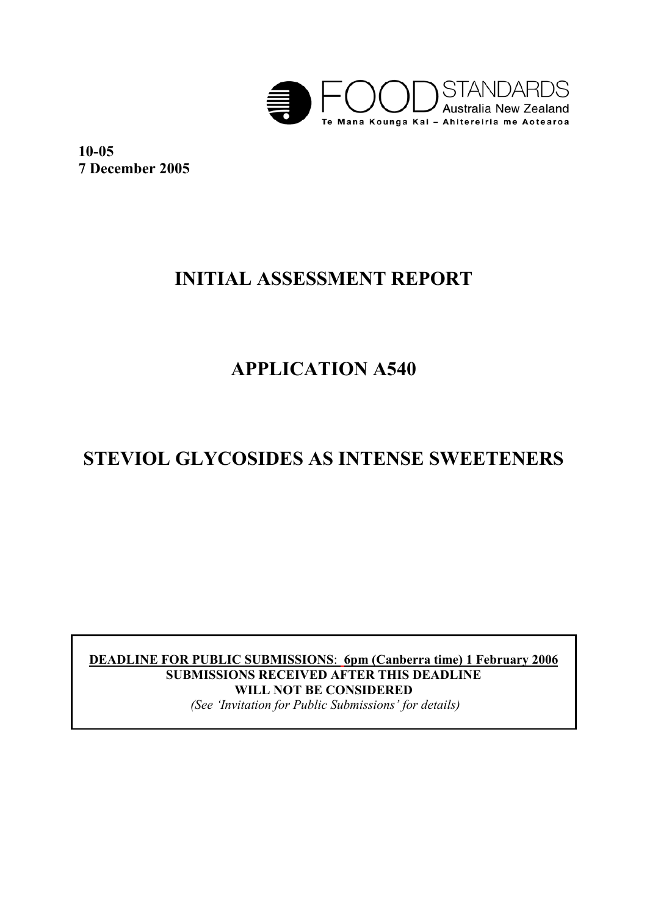

**10-05 7 December 2005** 

# **INITIAL ASSESSMENT REPORT**

# **APPLICATION A540**

# **STEVIOL GLYCOSIDES AS INTENSE SWEETENERS**

**DEADLINE FOR PUBLIC SUBMISSIONS**: **6pm (Canberra time) 1 February 2006 SUBMISSIONS RECEIVED AFTER THIS DEADLINE WILL NOT BE CONSIDERED**   *(See 'Invitation for Public Submissions' for details)*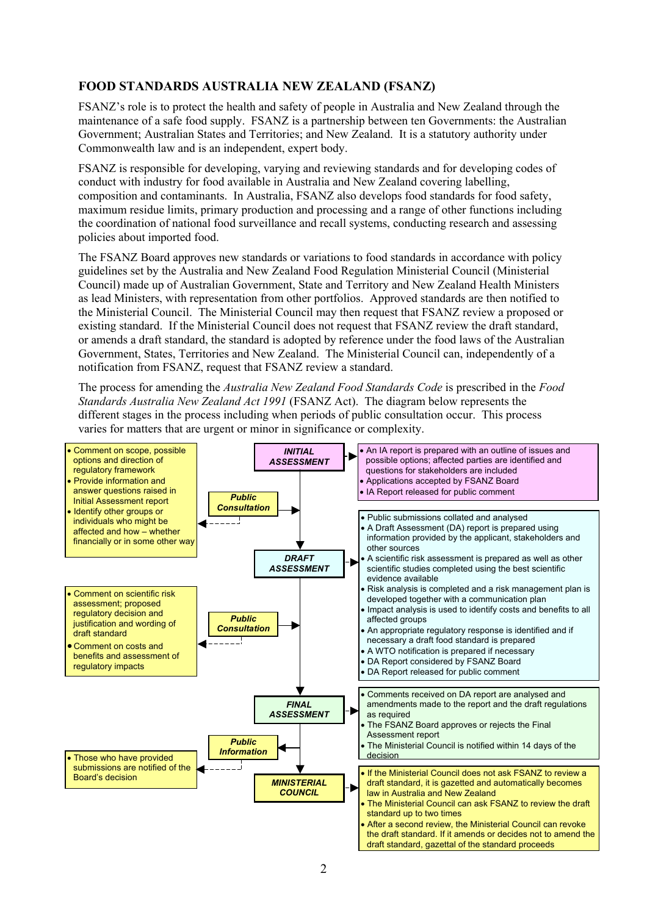#### **FOOD STANDARDS AUSTRALIA NEW ZEALAND (FSANZ)**

FSANZ's role is to protect the health and safety of people in Australia and New Zealand through the maintenance of a safe food supply. FSANZ is a partnership between ten Governments: the Australian Government; Australian States and Territories; and New Zealand. It is a statutory authority under Commonwealth law and is an independent, expert body.

FSANZ is responsible for developing, varying and reviewing standards and for developing codes of conduct with industry for food available in Australia and New Zealand covering labelling, composition and contaminants. In Australia, FSANZ also develops food standards for food safety, maximum residue limits, primary production and processing and a range of other functions including the coordination of national food surveillance and recall systems, conducting research and assessing policies about imported food.

The FSANZ Board approves new standards or variations to food standards in accordance with policy guidelines set by the Australia and New Zealand Food Regulation Ministerial Council (Ministerial Council) made up of Australian Government, State and Territory and New Zealand Health Ministers as lead Ministers, with representation from other portfolios. Approved standards are then notified to the Ministerial Council. The Ministerial Council may then request that FSANZ review a proposed or existing standard. If the Ministerial Council does not request that FSANZ review the draft standard, or amends a draft standard, the standard is adopted by reference under the food laws of the Australian Government, States, Territories and New Zealand. The Ministerial Council can, independently of a notification from FSANZ, request that FSANZ review a standard.

The process for amending the *Australia New Zealand Food Standards Code* is prescribed in the *Food Standards Australia New Zealand Act 1991* (FSANZ Act). The diagram below represents the different stages in the process including when periods of public consultation occur. This process varies for matters that are urgent or minor in significance or complexity.

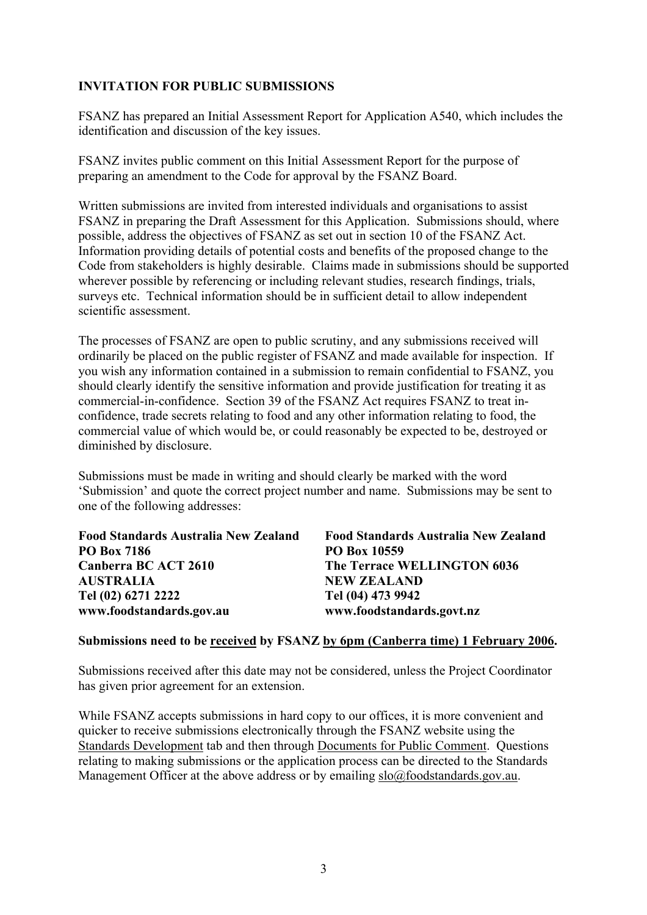#### **INVITATION FOR PUBLIC SUBMISSIONS**

FSANZ has prepared an Initial Assessment Report for Application A540, which includes the identification and discussion of the key issues.

FSANZ invites public comment on this Initial Assessment Report for the purpose of preparing an amendment to the Code for approval by the FSANZ Board.

Written submissions are invited from interested individuals and organisations to assist FSANZ in preparing the Draft Assessment for this Application. Submissions should, where possible, address the objectives of FSANZ as set out in section 10 of the FSANZ Act. Information providing details of potential costs and benefits of the proposed change to the Code from stakeholders is highly desirable. Claims made in submissions should be supported wherever possible by referencing or including relevant studies, research findings, trials, surveys etc. Technical information should be in sufficient detail to allow independent scientific assessment.

The processes of FSANZ are open to public scrutiny, and any submissions received will ordinarily be placed on the public register of FSANZ and made available for inspection. If you wish any information contained in a submission to remain confidential to FSANZ, you should clearly identify the sensitive information and provide justification for treating it as commercial-in-confidence. Section 39 of the FSANZ Act requires FSANZ to treat inconfidence, trade secrets relating to food and any other information relating to food, the commercial value of which would be, or could reasonably be expected to be, destroyed or diminished by disclosure.

Submissions must be made in writing and should clearly be marked with the word 'Submission' and quote the correct project number and name. Submissions may be sent to one of the following addresses:

| Food Standards Australia New Zealand | Food Standards Australia New Zealand |
|--------------------------------------|--------------------------------------|
| <b>PO Box 7186</b>                   | PO Box 10559                         |
| Canberra BC ACT 2610                 | The Terrace WELLINGTON 6036          |
| <b>AUSTRALIA</b>                     | <b>NEW ZEALAND</b>                   |
| Tel (02) 6271 2222                   | Tel (04) 473 9942                    |
| www.foodstandards.gov.au             | www.foodstandards.govt.nz            |

#### **Submissions need to be received by FSANZ by 6pm (Canberra time) 1 February 2006.**

Submissions received after this date may not be considered, unless the Project Coordinator has given prior agreement for an extension.

While FSANZ accepts submissions in hard copy to our offices, it is more convenient and quicker to receive submissions electronically through the FSANZ website using the Standards Development tab and then through Documents for Public Comment. Questions relating to making submissions or the application process can be directed to the Standards Management Officer at the above address or by emailing slo@foodstandards.gov.au.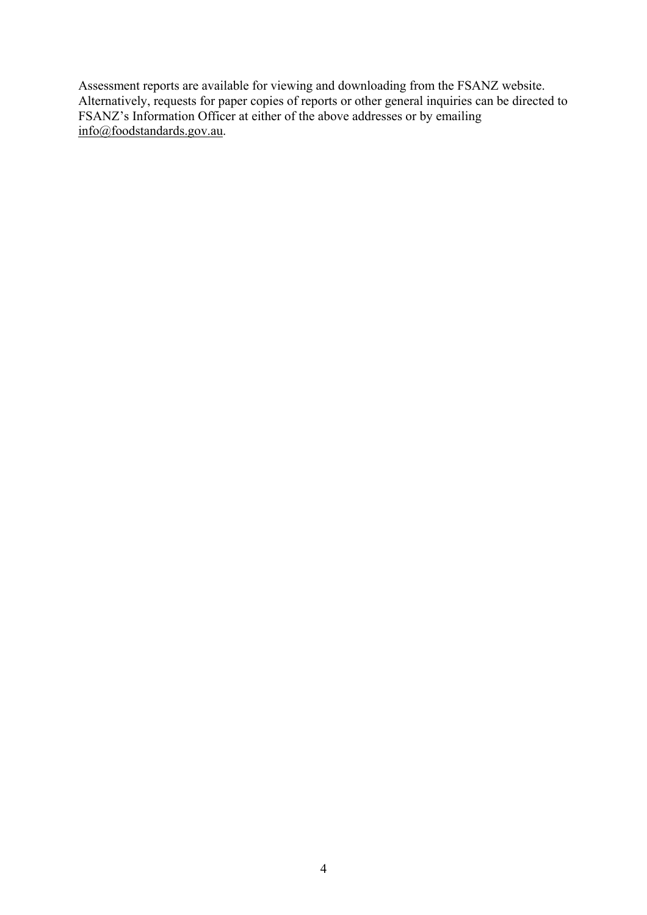Assessment reports are available for viewing and downloading from the FSANZ website. Alternatively, requests for paper copies of reports or other general inquiries can be directed to FSANZ's Information Officer at either of the above addresses or by emailing info@foodstandards.gov.au.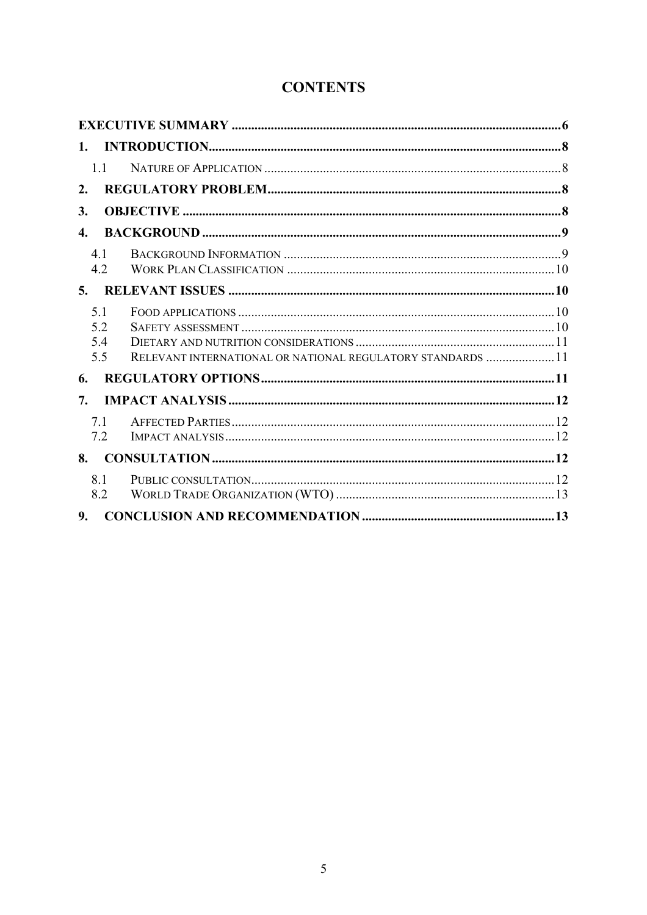# **CONTENTS**

| 1.1                      |                                                             |  |
|--------------------------|-------------------------------------------------------------|--|
| 2.                       |                                                             |  |
| 3.                       |                                                             |  |
| $\boldsymbol{4}$ .       |                                                             |  |
| 41<br>4.2                |                                                             |  |
| 5.                       |                                                             |  |
| 5.1<br>5.2<br>5.4<br>5.5 | RELEVANT INTERNATIONAL OR NATIONAL REGULATORY STANDARDS  11 |  |
| 6.                       |                                                             |  |
| 7.                       |                                                             |  |
| 7.1<br>7.2               |                                                             |  |
| 8.                       |                                                             |  |
| 8.1<br>8.2               |                                                             |  |
| 9.                       |                                                             |  |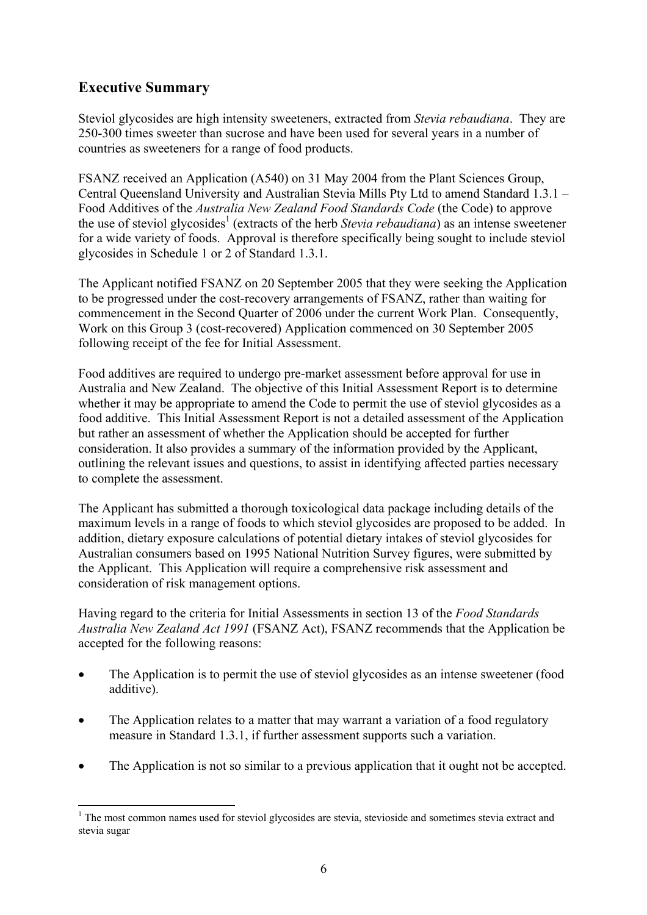# **Executive Summary**

Steviol glycosides are high intensity sweeteners, extracted from *Stevia rebaudiana*. They are 250-300 times sweeter than sucrose and have been used for several years in a number of countries as sweeteners for a range of food products.

FSANZ received an Application (A540) on 31 May 2004 from the Plant Sciences Group, Central Queensland University and Australian Stevia Mills Pty Ltd to amend Standard 1.3.1 – Food Additives of the *Australia New Zealand Food Standards Code* (the Code) to approve the use of steviol glycosides<sup>1</sup> (extracts of the herb *Stevia rebaudiana*) as an intense sweetener for a wide variety of foods. Approval is therefore specifically being sought to include steviol glycosides in Schedule 1 or 2 of Standard 1.3.1.

The Applicant notified FSANZ on 20 September 2005 that they were seeking the Application to be progressed under the cost-recovery arrangements of FSANZ, rather than waiting for commencement in the Second Quarter of 2006 under the current Work Plan. Consequently, Work on this Group 3 (cost-recovered) Application commenced on 30 September 2005 following receipt of the fee for Initial Assessment.

Food additives are required to undergo pre-market assessment before approval for use in Australia and New Zealand. The objective of this Initial Assessment Report is to determine whether it may be appropriate to amend the Code to permit the use of steviol glycosides as a food additive. This Initial Assessment Report is not a detailed assessment of the Application but rather an assessment of whether the Application should be accepted for further consideration. It also provides a summary of the information provided by the Applicant, outlining the relevant issues and questions, to assist in identifying affected parties necessary to complete the assessment.

The Applicant has submitted a thorough toxicological data package including details of the maximum levels in a range of foods to which steviol glycosides are proposed to be added. In addition, dietary exposure calculations of potential dietary intakes of steviol glycosides for Australian consumers based on 1995 National Nutrition Survey figures, were submitted by the Applicant. This Application will require a comprehensive risk assessment and consideration of risk management options.

Having regard to the criteria for Initial Assessments in section 13 of the *Food Standards Australia New Zealand Act 1991* (FSANZ Act), FSANZ recommends that the Application be accepted for the following reasons:

- The Application is to permit the use of steviol glycosides as an intense sweetener (food additive).
- The Application relates to a matter that may warrant a variation of a food regulatory measure in Standard 1.3.1, if further assessment supports such a variation.
- The Application is not so similar to a previous application that it ought not be accepted.

 $\overline{a}$ <sup>1</sup> The most common names used for steviol glycosides are stevia, stevioside and sometimes stevia extract and stevia sugar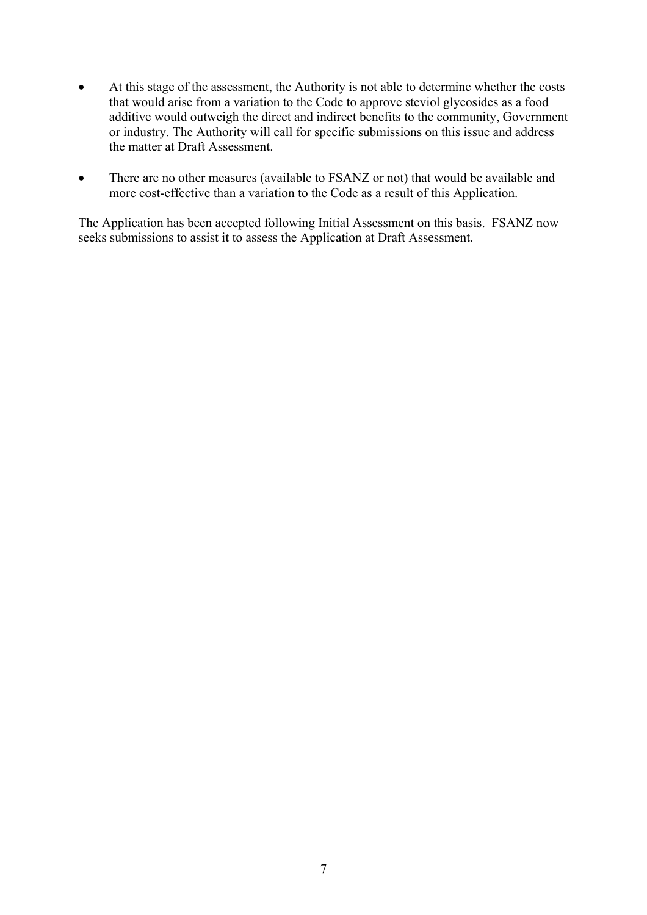- At this stage of the assessment, the Authority is not able to determine whether the costs that would arise from a variation to the Code to approve steviol glycosides as a food additive would outweigh the direct and indirect benefits to the community, Government or industry. The Authority will call for specific submissions on this issue and address the matter at Draft Assessment.
- There are no other measures (available to FSANZ or not) that would be available and more cost-effective than a variation to the Code as a result of this Application.

The Application has been accepted following Initial Assessment on this basis. FSANZ now seeks submissions to assist it to assess the Application at Draft Assessment.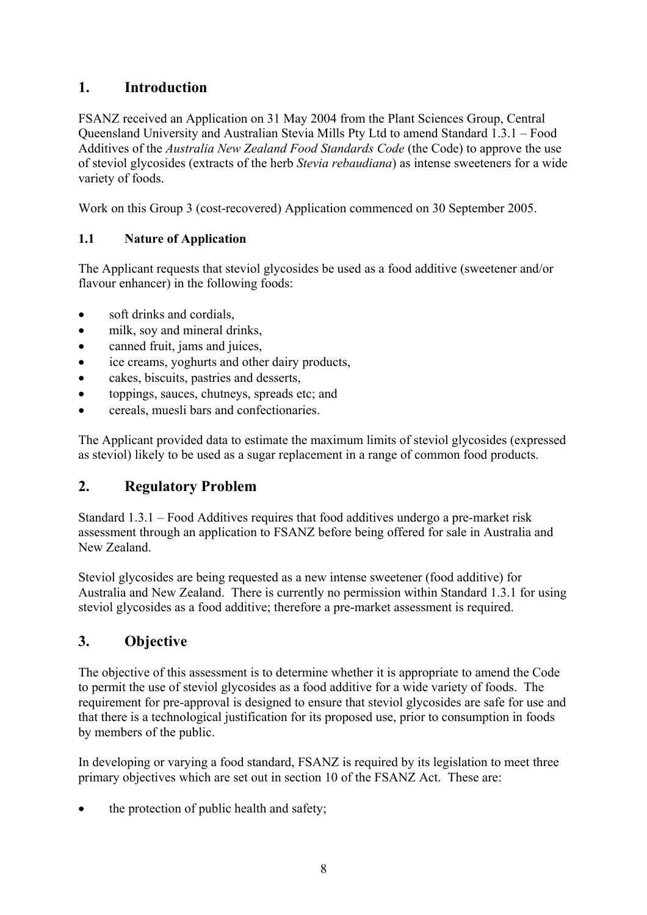# **1. Introduction**

FSANZ received an Application on 31 May 2004 from the Plant Sciences Group, Central Queensland University and Australian Stevia Mills Pty Ltd to amend Standard 1.3.1 – Food Additives of the *Australia New Zealand Food Standards Code* (the Code) to approve the use of steviol glycosides (extracts of the herb *Stevia rebaudiana*) as intense sweeteners for a wide variety of foods.

Work on this Group 3 (cost-recovered) Application commenced on 30 September 2005.

#### **1.1 Nature of Application**

The Applicant requests that steviol glycosides be used as a food additive (sweetener and/or flavour enhancer) in the following foods:

- soft drinks and cordials,
- milk, soy and mineral drinks,
- canned fruit, jams and juices,
- ice creams, yoghurts and other dairy products,
- cakes, biscuits, pastries and desserts,
- toppings, sauces, chutneys, spreads etc; and
- cereals, muesli bars and confectionaries.

The Applicant provided data to estimate the maximum limits of steviol glycosides (expressed as steviol) likely to be used as a sugar replacement in a range of common food products.

# **2. Regulatory Problem**

Standard 1.3.1 – Food Additives requires that food additives undergo a pre-market risk assessment through an application to FSANZ before being offered for sale in Australia and New Zealand.

Steviol glycosides are being requested as a new intense sweetener (food additive) for Australia and New Zealand. There is currently no permission within Standard 1.3.1 for using steviol glycosides as a food additive; therefore a pre-market assessment is required.

# **3. Objective**

The objective of this assessment is to determine whether it is appropriate to amend the Code to permit the use of steviol glycosides as a food additive for a wide variety of foods. The requirement for pre-approval is designed to ensure that steviol glycosides are safe for use and that there is a technological justification for its proposed use, prior to consumption in foods by members of the public.

In developing or varying a food standard, FSANZ is required by its legislation to meet three primary objectives which are set out in section 10 of the FSANZ Act. These are:

the protection of public health and safety;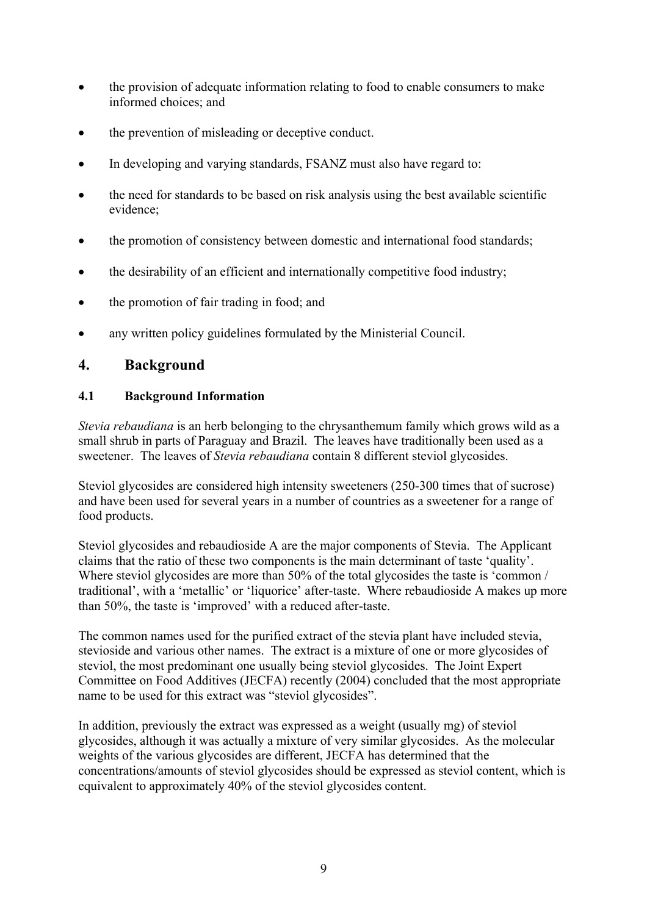- the provision of adequate information relating to food to enable consumers to make informed choices; and
- the prevention of misleading or deceptive conduct.
- In developing and varying standards, FSANZ must also have regard to:
- the need for standards to be based on risk analysis using the best available scientific evidence;
- the promotion of consistency between domestic and international food standards;
- the desirability of an efficient and internationally competitive food industry;
- the promotion of fair trading in food; and
- any written policy guidelines formulated by the Ministerial Council.

# **4. Background**

#### **4.1 Background Information**

*Stevia rebaudiana* is an herb belonging to the chrysanthemum family which grows wild as a small shrub in parts of Paraguay and Brazil. The leaves have traditionally been used as a sweetener. The leaves of *Stevia rebaudiana* contain 8 different steviol glycosides.

Steviol glycosides are considered high intensity sweeteners (250-300 times that of sucrose) and have been used for several years in a number of countries as a sweetener for a range of food products.

Steviol glycosides and rebaudioside A are the major components of Stevia. The Applicant claims that the ratio of these two components is the main determinant of taste 'quality'. Where steviol glycosides are more than 50% of the total glycosides the taste is 'common / traditional', with a 'metallic' or 'liquorice' after-taste. Where rebaudioside A makes up more than 50%, the taste is 'improved' with a reduced after-taste.

The common names used for the purified extract of the stevia plant have included stevia, stevioside and various other names. The extract is a mixture of one or more glycosides of steviol, the most predominant one usually being steviol glycosides. The Joint Expert Committee on Food Additives (JECFA) recently (2004) concluded that the most appropriate name to be used for this extract was "steviol glycosides".

In addition, previously the extract was expressed as a weight (usually mg) of steviol glycosides, although it was actually a mixture of very similar glycosides. As the molecular weights of the various glycosides are different. JECFA has determined that the concentrations/amounts of steviol glycosides should be expressed as steviol content, which is equivalent to approximately 40% of the steviol glycosides content.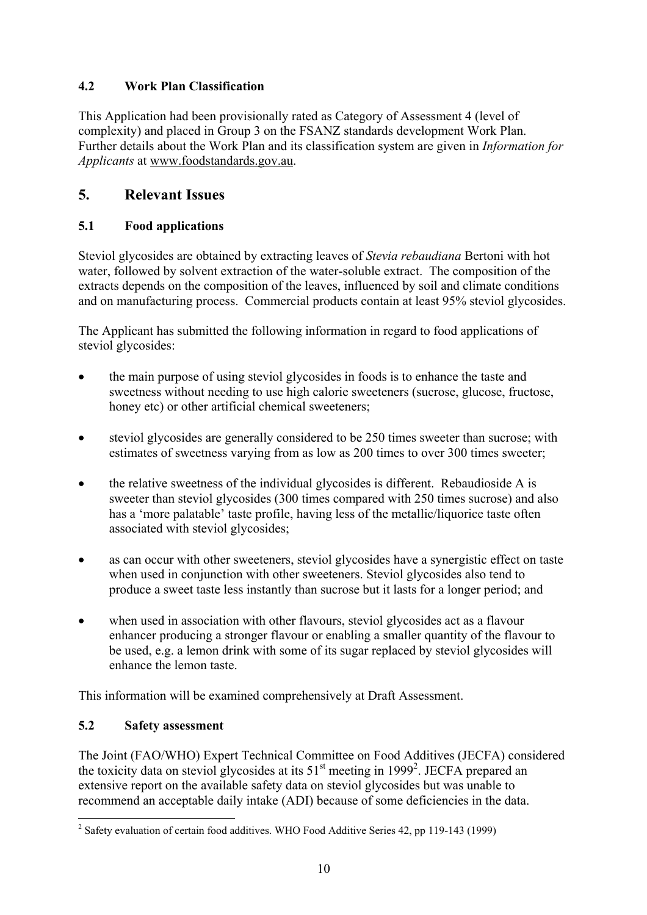### **4.2 Work Plan Classification**

This Application had been provisionally rated as Category of Assessment 4 (level of complexity) and placed in Group 3 on the FSANZ standards development Work Plan. Further details about the Work Plan and its classification system are given in *Information for Applicants* at www.foodstandards.gov.au.

# **5. Relevant Issues**

### **5.1 Food applications**

Steviol glycosides are obtained by extracting leaves of *Stevia rebaudiana* Bertoni with hot water, followed by solvent extraction of the water-soluble extract. The composition of the extracts depends on the composition of the leaves, influenced by soil and climate conditions and on manufacturing process. Commercial products contain at least 95% steviol glycosides.

The Applicant has submitted the following information in regard to food applications of steviol glycosides:

- the main purpose of using steviol glycosides in foods is to enhance the taste and sweetness without needing to use high calorie sweeteners (sucrose, glucose, fructose, honey etc) or other artificial chemical sweeteners;
- steviol glycosides are generally considered to be 250 times sweeter than sucrose; with estimates of sweetness varying from as low as 200 times to over 300 times sweeter;
- the relative sweetness of the individual glycosides is different. Rebaudioside A is sweeter than steviol glycosides (300 times compared with 250 times sucrose) and also has a 'more palatable' taste profile, having less of the metallic/liquorice taste often associated with steviol glycosides;
- as can occur with other sweeteners, steviol glycosides have a synergistic effect on taste when used in conjunction with other sweeteners. Steviol glycosides also tend to produce a sweet taste less instantly than sucrose but it lasts for a longer period; and
- when used in association with other flavours, steviol glycosides act as a flavour enhancer producing a stronger flavour or enabling a smaller quantity of the flavour to be used, e.g. a lemon drink with some of its sugar replaced by steviol glycosides will enhance the lemon taste.

This information will be examined comprehensively at Draft Assessment.

#### **5.2 Safety assessment**

The Joint (FAO/WHO) Expert Technical Committee on Food Additives (JECFA) considered the toxicity data on steviol glycosides at its  $51<sup>st</sup>$  meeting in 1999<sup>2</sup>. JECFA prepared an extensive report on the available safety data on steviol glycosides but was unable to recommend an acceptable daily intake (ADI) because of some deficiencies in the data.

 $\overline{a}$ <sup>2</sup> Safety evaluation of certain food additives. WHO Food Additive Series 42, pp 119-143 (1999)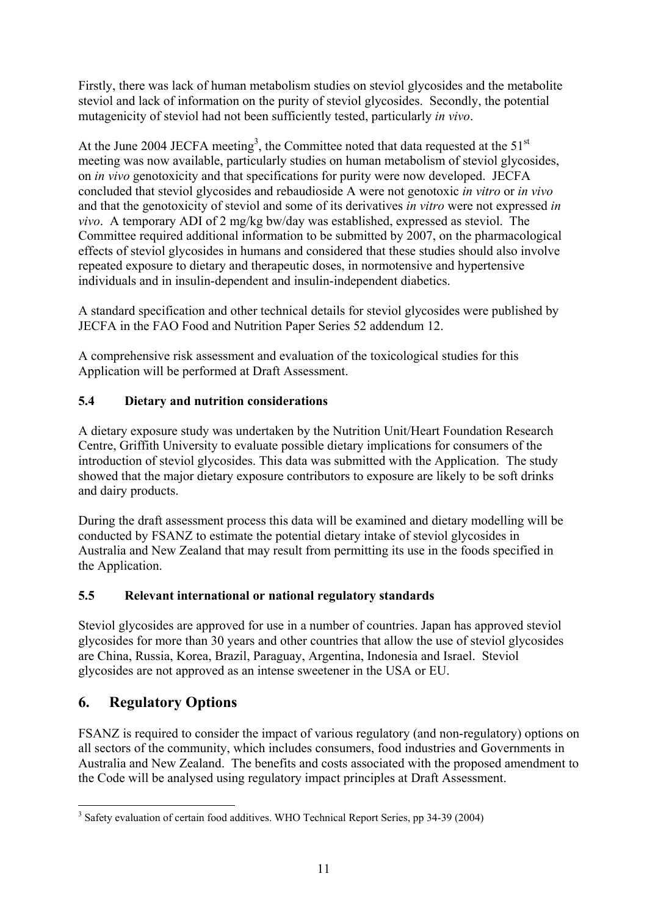Firstly, there was lack of human metabolism studies on steviol glycosides and the metabolite steviol and lack of information on the purity of steviol glycosides. Secondly, the potential mutagenicity of steviol had not been sufficiently tested, particularly *in vivo*.

At the June 2004 JECFA meeting<sup>3</sup>, the Committee noted that data requested at the 51<sup>st</sup> meeting was now available, particularly studies on human metabolism of steviol glycosides, on *in vivo* genotoxicity and that specifications for purity were now developed. JECFA concluded that steviol glycosides and rebaudioside A were not genotoxic *in vitro* or *in vivo* and that the genotoxicity of steviol and some of its derivatives *in vitro* were not expressed *in vivo*. A temporary ADI of 2 mg/kg bw/day was established, expressed as steviol. The Committee required additional information to be submitted by 2007, on the pharmacological effects of steviol glycosides in humans and considered that these studies should also involve repeated exposure to dietary and therapeutic doses, in normotensive and hypertensive individuals and in insulin-dependent and insulin-independent diabetics.

A standard specification and other technical details for steviol glycosides were published by JECFA in the FAO Food and Nutrition Paper Series 52 addendum 12.

A comprehensive risk assessment and evaluation of the toxicological studies for this Application will be performed at Draft Assessment.

### **5.4 Dietary and nutrition considerations**

A dietary exposure study was undertaken by the Nutrition Unit/Heart Foundation Research Centre, Griffith University to evaluate possible dietary implications for consumers of the introduction of steviol glycosides. This data was submitted with the Application. The study showed that the major dietary exposure contributors to exposure are likely to be soft drinks and dairy products.

During the draft assessment process this data will be examined and dietary modelling will be conducted by FSANZ to estimate the potential dietary intake of steviol glycosides in Australia and New Zealand that may result from permitting its use in the foods specified in the Application.

#### **5.5 Relevant international or national regulatory standards**

Steviol glycosides are approved for use in a number of countries. Japan has approved steviol glycosides for more than 30 years and other countries that allow the use of steviol glycosides are China, Russia, Korea, Brazil, Paraguay, Argentina, Indonesia and Israel. Steviol glycosides are not approved as an intense sweetener in the USA or EU.

# **6. Regulatory Options**

FSANZ is required to consider the impact of various regulatory (and non-regulatory) options on all sectors of the community, which includes consumers, food industries and Governments in Australia and New Zealand. The benefits and costs associated with the proposed amendment to the Code will be analysed using regulatory impact principles at Draft Assessment.

 $\overline{a}$ <sup>3</sup> Safety evaluation of certain food additives. WHO Technical Report Series, pp 34-39 (2004)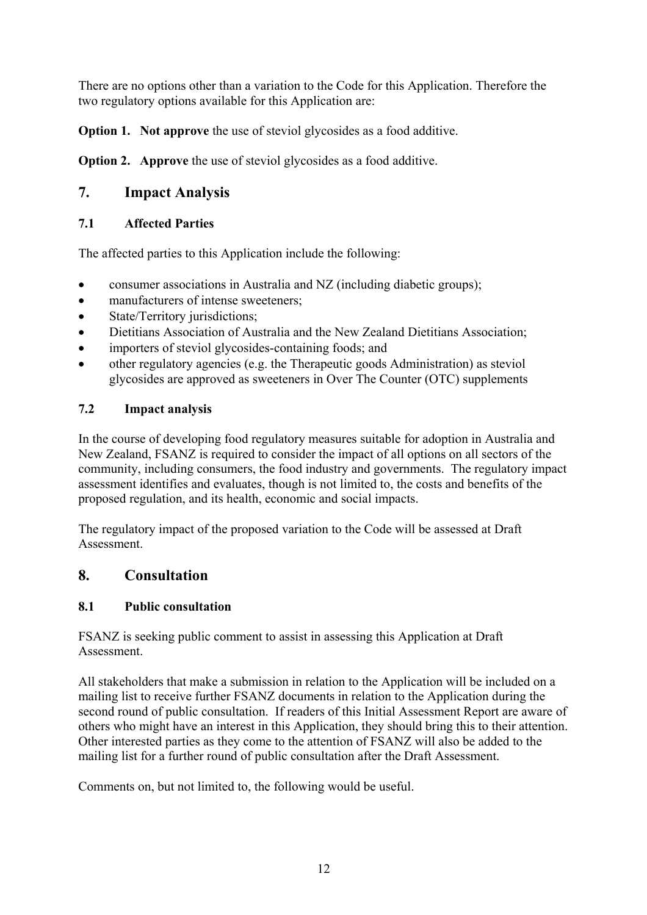There are no options other than a variation to the Code for this Application. Therefore the two regulatory options available for this Application are:

**Option 1.** Not approve the use of steviol glycosides as a food additive.

**Option 2.** Approve the use of steviol glycosides as a food additive.

# **7. Impact Analysis**

#### **7.1 Affected Parties**

The affected parties to this Application include the following:

- consumer associations in Australia and NZ (including diabetic groups);
- manufacturers of intense sweeteners;
- State/Territory jurisdictions;
- Dietitians Association of Australia and the New Zealand Dietitians Association;
- importers of steviol glycosides-containing foods: and
- other regulatory agencies (e.g. the Therapeutic goods Administration) as steviol glycosides are approved as sweeteners in Over The Counter (OTC) supplements

### **7.2 Impact analysis**

In the course of developing food regulatory measures suitable for adoption in Australia and New Zealand, FSANZ is required to consider the impact of all options on all sectors of the community, including consumers, the food industry and governments. The regulatory impact assessment identifies and evaluates, though is not limited to, the costs and benefits of the proposed regulation, and its health, economic and social impacts.

The regulatory impact of the proposed variation to the Code will be assessed at Draft **Assessment** 

# **8. Consultation**

#### **8.1 Public consultation**

FSANZ is seeking public comment to assist in assessing this Application at Draft Assessment.

All stakeholders that make a submission in relation to the Application will be included on a mailing list to receive further FSANZ documents in relation to the Application during the second round of public consultation. If readers of this Initial Assessment Report are aware of others who might have an interest in this Application, they should bring this to their attention. Other interested parties as they come to the attention of FSANZ will also be added to the mailing list for a further round of public consultation after the Draft Assessment.

Comments on, but not limited to, the following would be useful.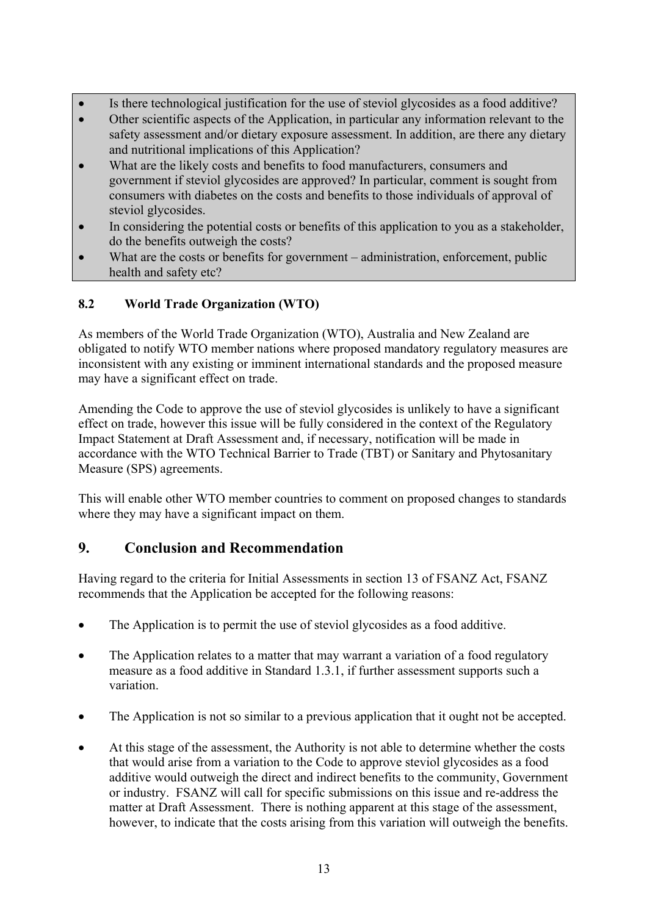- Is there technological justification for the use of steviol glycosides as a food additive?
- Other scientific aspects of the Application, in particular any information relevant to the safety assessment and/or dietary exposure assessment. In addition, are there any dietary and nutritional implications of this Application?
- What are the likely costs and benefits to food manufacturers, consumers and government if steviol glycosides are approved? In particular, comment is sought from consumers with diabetes on the costs and benefits to those individuals of approval of steviol glycosides.
- In considering the potential costs or benefits of this application to you as a stakeholder, do the benefits outweigh the costs?
- What are the costs or benefits for government administration, enforcement, public health and safety etc?

### **8.2 World Trade Organization (WTO)**

As members of the World Trade Organization (WTO), Australia and New Zealand are obligated to notify WTO member nations where proposed mandatory regulatory measures are inconsistent with any existing or imminent international standards and the proposed measure may have a significant effect on trade.

Amending the Code to approve the use of steviol glycosides is unlikely to have a significant effect on trade, however this issue will be fully considered in the context of the Regulatory Impact Statement at Draft Assessment and, if necessary, notification will be made in accordance with the WTO Technical Barrier to Trade (TBT) or Sanitary and Phytosanitary Measure (SPS) agreements.

This will enable other WTO member countries to comment on proposed changes to standards where they may have a significant impact on them.

# **9. Conclusion and Recommendation**

Having regard to the criteria for Initial Assessments in section 13 of FSANZ Act, FSANZ recommends that the Application be accepted for the following reasons:

- The Application is to permit the use of steviol glycosides as a food additive.
- The Application relates to a matter that may warrant a variation of a food regulatory measure as a food additive in Standard 1.3.1, if further assessment supports such a variation.
- The Application is not so similar to a previous application that it ought not be accepted.
- At this stage of the assessment, the Authority is not able to determine whether the costs that would arise from a variation to the Code to approve steviol glycosides as a food additive would outweigh the direct and indirect benefits to the community, Government or industry. FSANZ will call for specific submissions on this issue and re-address the matter at Draft Assessment. There is nothing apparent at this stage of the assessment, however, to indicate that the costs arising from this variation will outweigh the benefits.